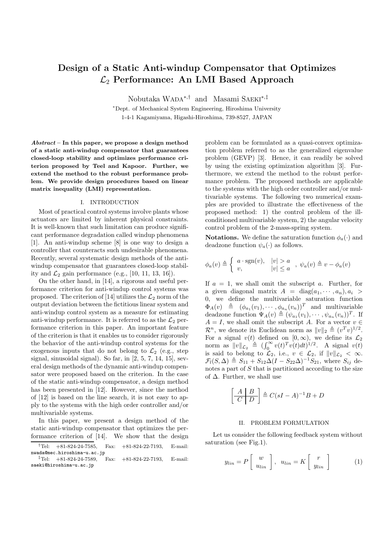# **Design of a Static Anti-windup Compensator that Optimizes** L<sup>2</sup> **Performance: An LMI Based Approach**

Nobutaka WADA∗*,*† and Masami SAEKI∗*,*‡

<sup>∗</sup>Dept. of Mechanical System Engineering, Hiroshima University 1-4-1 Kagamiyama, Higashi-Hiroshima, 739-8527, JAPAN

*Abstract* **– In this paper, we propose a design method of a static anti-windup compensator that guarantees closed-loop stability and optimizes performance criterion proposed by Teel and Kapoor. Further, we extend the method to the robust performance problem. We provide design procedures based on linear matrix inequality (LMI) representation.**

## I. INTRODUCTION

Most of practical control systems involve plants whose actuators are limited by inherent physical constraints. It is well-known that such limitation can produce significant performance degradation called windup phenomena [1]. An anti-windup scheme [8] is one way to design a controller that counteracts such undesirable phenomena. Recently, several systematic design methods of the antiwindup compensator that guarantees closed-loop stability and  $\mathcal{L}_2$  gain performance (e.g., [10, 11, 13, 16]).

On the other hand, in [14], a rigorous and useful performance criterion for anti-windup control systems was proposed. The criterion of [14] utilizes the  $\mathcal{L}_2$  norm of the output deviation between the fictitious linear system and anti-windup control system as a measure for estimating anti-windup performance. It is referred to as the  $\mathcal{L}_2$  performance criterion in this paper. An important feature of the criterion is that it enables us to consider rigorously the behavior of the anti-windup control systems for the exogenous inputs that do not belong to  $\mathcal{L}_2$  (e.g., step signal, sinusoidal signal). So far, in [2, 5, 7, 14, 15], several design methods of the dynamic anti-windup compensator were proposed based on the criterion. In the case of the static anti-windup compensator, a design method has been presented in [12]. However, since the method of [12] is based on the line search, it is not easy to apply to the systems with the high order controller and/or multivariable systems.

In this paper, we present a design method of the static anti-windup compensator that optimizes the performance criterion of [14]. We show that the design problem can be formulated as a quasi-convex optimization problem referred to as the generalized eigenvalue problem (GEVP) [3]. Hence, it can readily be solved by using the existing optimization algorithm [3]. Furthermore, we extend the method to the robust performance problem. The proposed methods are applicable to the systems with the high order controller and/or multivariable systems. The following two numerical examples are provided to illustrate the effectiveness of the proposed method: 1) the control problem of the illconditioned multivariable system, 2) the angular velocity control problem of the 2-mass-spring system.

**Notations.** We define the saturation function  $\phi_a(\cdot)$  and deadzone function  $\psi_a(\cdot)$  as follows.

$$
\phi_a(v) \triangleq \begin{cases} a \cdot \text{sgn}(v), & |v| > a \\ v, & |v| \le a \end{cases}, \psi_a(v) \triangleq v - \phi_a(v)
$$

If  $a = 1$ , we shall omit the subscript a. Further, for a given diagonal matrix  $A = \text{diag}(a_1, \dots, a_n), a_i >$ 0, we define the multivariable saturation function  $\Phi_A(v) \triangleq (\phi_{a_1}(v_1), \cdots, \phi_{a_n}(v_n))^T$  and multivariable deadzone function  $\Psi_A(v) \triangleq (\psi_{a_1}(v_1), \cdots, \psi_{a_n}(v_n))^T$ . If  $A = I$ , we shall omit the subscript A. For a vector  $v \in$  $\mathcal{R}^n$ , we denote its Euclidean norm as  $||v||_2 \triangleq (v^T v)^{1/2}$ . For a signal  $v(t)$  defined on  $[0, \infty)$ , we define its  $\mathcal{L}_2$ norm as  $||v||_{\mathcal{L}_2} \triangleq (\int_0^\infty v(t)^T v(t) dt)^{1/2}$ . A signal  $v(t)$ is said to belong to  $\mathcal{L}_2$ , i.e.,  $v \in \mathcal{L}_2$ , if  $||v||_{\mathcal{L}_2} < \infty$ .  $\mathcal{F}_l(S,\Delta) \triangleq S_{11} + S_{12}\Delta(I - S_{22}\Delta)^{-1}S_{21}$ , where  $S_{ij}$  denotes a part of S that is partitioned according to the size of  $\Delta$ . Further, we shall use

$$
\left[\begin{array}{c|c} A & B \\ \hline C & D \end{array}\right] \triangleq C(sI - A)^{-1}B + D
$$

#### II. PROBLEM FORMULATION

Let us consider the following feedback system without saturation (see Fig.1).

$$
y_{lin} = P\left[\begin{array}{c} w \\ u_{lin} \end{array}\right], \quad u_{lin} = K\left[\begin{array}{c} r \\ y_{lin} \end{array}\right] \tag{1}
$$

<sup>†</sup>Tel: +81-824-24-7585, Fax: +81-824-22-7193, E-mail: nwada@mec.hiroshima-u.ac.jp

 ${}^{4}$ Tel: +81-824-24-7589, Fax: +81-824-22-7193, E-mail: saeki@hiroshima-u.ac.jp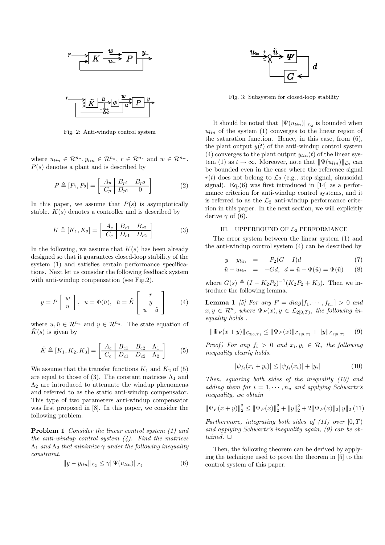

Fig. 2: Anti-windup control system

where  $u_{lin} \in \mathcal{R}^{n_u}$ ,  $y_{lin} \in \mathcal{R}^{n_y}$ ,  $r \in \mathcal{R}^{n_r}$  and  $w \in \mathcal{R}^{n_w}$ .  $P(s)$  denotes a plant and is described by

$$
P \triangleq [P_1, P_2] = \begin{bmatrix} A_p & B_{p1} & B_{p2} \\ C_p & D_{p1} & 0 \end{bmatrix}
$$
 (2)

In this paper, we assume that  $P(s)$  is asymptotically stable.  $K(s)$  denotes a controller and is described by

$$
K \triangleq [K_1, K_2] = \left[ \begin{array}{cc|cc} A_c & B_{c1} & B_{c2} \\ \hline C_c & D_{c1} & D_{c2} \end{array} \right]
$$
 (3)

In the following, we assume that  $K(s)$  has been already designed so that it guarantees closed-loop stability of the system (1) and satisfies certain performance specifications. Next let us consider the following feedback system with anti-windup compensation (see Fig.2).

$$
y = P\left[\begin{array}{c} w \\ u \end{array}\right], \ u = \Phi(\tilde{u}), \ \tilde{u} = \tilde{K}\left[\begin{array}{c} r \\ y \\ u - \tilde{u} \end{array}\right] \qquad (4)
$$

where  $u, \tilde{u} \in \mathcal{R}^{n_u}$  and  $y \in \mathcal{R}^{n_y}$ . The state equation of  $K(s)$  is given by

$$
\tilde{K} \triangleq [K_1, K_2, K_3] = \left[ \begin{array}{cc|cc} A_c & B_{c1} & B_{c2} & \Lambda_1 \\ \hline C_c & D_{c1} & D_{c2} & \Lambda_2 \end{array} \right] \tag{5}
$$

We assume that the transfer functions  $K_1$  and  $K_2$  of (5) are equal to those of (3). The constant matrices  $\Lambda_1$  and  $\Lambda_2$  are introduced to attenuate the windup phenomena and referred to as the static anti-windup compensator. This type of two parameters anti-windup compensator was first proposed in [8]. In this paper, we consider the following problem.

**Problem 1** *Consider the linear control system (1) and the anti-windup control system (4). Find the matrices*  $\Lambda_1$  *and*  $\Lambda_2$  *that minimize*  $\gamma$  *under the following inequality constraint.*

$$
||y - y_{lin}||_{\mathcal{L}_2} \le \gamma ||\Psi(u_{lin})||_{\mathcal{L}_2}
$$
\n(6)



Fig. 3: Subsystem for closed-loop stability

It should be noted that  $\|\Psi(u_{lin})\|_{\mathcal{L}_2}$  is bounded when  $u_{lin}$  of the system  $(1)$  converges to the linear region of the saturation function. Hence, in this case, from (6), the plant output  $y(t)$  of the anti-windup control system (4) converges to the plant output  $y_{lin}(t)$  of the linear system (1) as  $t \to \infty$ . Moreover, note that  $\|\Psi(u_{lin})\|_{\mathcal{L}_2}$  can be bounded even in the case where the reference signal  $r(t)$  does not belong to  $\mathcal{L}_2$  (e.g., step signal, sinusoidal signal). Eq.(6) was first introduced in [14] as a performance criterion for anti-windup control systems, and it is referred to as the  $\mathcal{L}_2$  anti-windup performance criterion in this paper. In the next section, we will explicitly derive  $\gamma$  of (6).

## III. UPPERBOUND OF *L*<sup>2</sup> PERFORMANCE

The error system between the linear system (1) and the anti-windup control system (4) can be described by

$$
y - y_{lin} = -P_2(G+I)d \tag{7}
$$

$$
\tilde{u} - u_{lin} = -Gd, \quad d = \tilde{u} - \Phi(\tilde{u}) = \Psi(\tilde{u}) \tag{8}
$$

where  $G(s) \triangleq (I - K_2 P_2)^{-1} (K_2 P_2 + K_3)$ . Then we introduce the following lemma.

**Lemma 1** *[5] For any*  $F = diag[f_1, \dots, f_{n_u}] > 0$  *and*  $x, y \in \mathcal{R}^n$ , where  $\Psi_F(x), y \in \mathcal{L}_{2[0,T)}$ , the following in*equality holds .*

$$
\|\Psi_F(x+y)\|_{\mathcal{L}_{2(0,T)}} \le \|\Psi_F(x)\|_{\mathcal{L}_{2(0,T)}} + \|y\|_{\mathcal{L}_{2(0,T)}} \tag{9}
$$

*Proof)* For any  $f_i > 0$  and  $x_i, y_i \in \mathcal{R}$ , the following *inequality clearly holds.*

$$
|\psi_{f_i}(x_i + y_i)| \le |\psi_{f_i}(x_i)| + |y_i| \tag{10}
$$

*Then, squaring both sides of the inequality (10) and adding them for*  $i = 1, \dots, n_u$  *and applying Schwartz's inequality, we obtain*

$$
\|\Psi_F(x+y)\|_2^2 \le \|\Psi_F(x)\|_2^2 + \|y\|_2^2 + 2\|\Psi_F(x)\|_2\|y\|_2
$$
 (11)

*Furthermore, integrating both sides of (11) over*  $[0, T)$ *and applying Schwartz's inequality again, (9) can be obtained.*  $\square$ 

Then, the following theorem can be derived by applying the technique used to prove the theorem in [5] to the control system of this paper.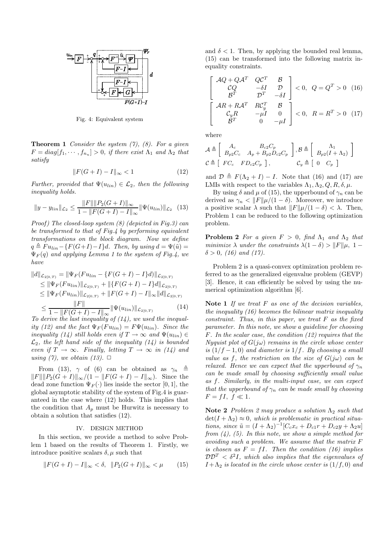

Fig. 4: Equivalent system

**Theorem 1** *Consider the system (7), (8). For a given*  $F = diag[f_1, \dots, f_{n_u}] > 0$ , if there exist  $\Lambda_1$  and  $\Lambda_2$  that *satisfy*

$$
||F(G+I) - I||_{\infty} < 1
$$
\n(12)

*Further, provided that*  $\Psi(u_{lin}) \in \mathcal{L}_2$ *, then the following inequality holds.*

$$
||y - y_{lin}||_{\mathcal{L}_2} \le \frac{||F|| ||P_2(G+I)||_{\infty}}{1 - ||F(G+I) - I||_{\infty}} ||\Psi(u_{lin})||_{\mathcal{L}_2} \quad (13)
$$

*Proof) The closed-loop system (8) (depicted in Fig.3) can be transformed to that of Fig.4 by performing equivalent transformations on the block diagram. Now we define*  $q \triangleq Fu_{lin} - \{F(G+I)-I\}d$ *. Then, by using*  $d = \Psi(\tilde{u}) =$  $\Psi_F(q)$  *and applying Lemma 1 to the system of Fig.4, we have*

$$
||d||_{\mathcal{L}_{2[0,T)}} = ||\Psi_F(Fu_{lin} - \{F(G+I) - I\}d)||_{\mathcal{L}_{2[0,T)}}\leq ||\Psi_F(Fu_{lin})||_{\mathcal{L}_{2[0,T)}} + ||\{F(G+I) - I\}d||_{\mathcal{L}_{2[0,T)}}\leq ||\Psi_F(Fu_{lin})||_{\mathcal{L}_{2[0,T)}} + ||F(G+I) - I||_{\infty}||d||_{\mathcal{L}_{2[0,T)}}\leq \frac{||F||}{1 - ||F(G+I) - I||_{\infty}} ||\Psi(u_{lin})||_{\mathcal{L}_{2[0,T)}} \tag{14}
$$

 $\begin{array}{c}\n-1 - \|F(G+I) - I\|_{\infty} \longrightarrow \n\end{array}$ <br> *To derive the last inequality of (14), we used the inequality* (12) and the fact  $\Psi_F(Fu_{lin}) = F\Psi(u_{lin})$ . Since the *inequality* (14) still holds even if  $T \rightarrow \infty$  and  $\Psi(u_{lin}) \in$  $\mathcal{L}_2$ *, the left hand side of the inequality (14) is bounded even if*  $T \rightarrow \infty$ *. Finally, letting*  $T \rightarrow \infty$  *in (14) and using (7), we obtain (13).*  $\Box$ 

From (13),  $\gamma$  of (6) can be obtained as  $\gamma_n \triangleq$  $||F|| ||P_2(G + I)||_{\infty}/(1 - ||F(G + I) - I||_{\infty}).$  Since the dead zone function  $\Psi_F(\cdot)$  lies inside the sector [0, 1], the global asymptotic stability of the system of Fig.4 is guaranteed in the case where (12) holds. This implies that the condition that  $A_p$  must be Hurwitz is necessary to obtain a solution that satisfies (12).

### IV. DESIGN METHOD

In this section, we provide a method to solve Problem 1 based on the results of Theorem 1. Firstly, we introduce positive scalars  $\delta, \mu$  such that

$$
||F(G+I) - I||_{\infty} < \delta, \quad ||P_2(G+I)||_{\infty} < \mu \qquad (15)
$$

and  $\delta$  < 1. Then, by applying the bounded real lemma, (15) can be transformed into the following matrix inequality constraints.

$$
\begin{bmatrix}\n\mathcal{A}Q + Q\mathcal{A}^T & Q\mathcal{C}^T & \mathcal{B} \\
\mathcal{C}Q & -\delta I & \mathcal{D} \\
\mathcal{B}^T & \mathcal{D}^T & -\delta I\n\end{bmatrix} < 0, \quad Q = Q^T > 0 \quad (16)
$$
\n
$$
\begin{bmatrix}\n\mathcal{A}R + R\mathcal{A}^T & R\mathcal{C}_y^T & \mathcal{B} \\
\mathcal{C}_y R & -\mu I & 0 \\
\mathcal{B}^T & 0 & -\mu I\n\end{bmatrix} < 0, \quad R = R^T > 0 \quad (17)
$$

where

$$
\mathcal{A} \triangleq \left[ \begin{array}{cc} A_c & B_{c2}C_p \\ B_{p2}C_c & A_p + B_{p2}D_{c2}C_p \end{array} \right], \mathcal{B} \triangleq \left[ \begin{array}{c} \Lambda_1 \\ B_{p2}(I + \Lambda_2) \end{array} \right]
$$
\n
$$
\mathcal{C} \triangleq \left[ \begin{array}{cc} FC_c & FD_{c2}C_p \end{array} \right], \qquad \mathcal{C}_y \triangleq \left[ \begin{array}{cc} 0 & C_p \end{array} \right]
$$

and  $\mathcal{D} \triangleq F(\Lambda_2 + I) - I$ . Note that (16) and (17) are LMIs with respect to the variables  $\Lambda_1, \Lambda_2, Q, R, \delta, \mu$ .

By using  $\delta$  and  $\mu$  of (15), the upperbound of  $\gamma_n$  can be derived as  $\gamma_n < ||F|| \mu/(1 - \delta)$ . Moreover, we introduce a positive scalar  $\lambda$  such that  $||F||\mu/(1 - \delta) < \lambda$ . Then, Problem 1 can be reduced to the following optimization problem.

**Problem 2** *For a given*  $F > 0$ *, find*  $\Lambda_1$  *and*  $\Lambda_2$  *that minimize*  $\lambda$  *under the constraints*  $\lambda(1 - \delta) > ||F||_{\mu}$ , 1 −  $\delta > 0$ , (16) and (17).

Problem 2 is a quasi-convex optimization problem referred to as the generalized eigenvalue problem (GEVP) [3]. Hence, it can efficiently be solved by using the numerical optimization algorithm [6].

**Note 1** *If we treat* F *as one of the decision variables, the inequality (16) becomes the bilinear matrix inequality constraint. Thus, in this paper, we treat* F *as the fixed parameter. In this note, we show a guideline for choosing* F*. In the scalar case, the condition (12) requires that the Nyquist plot of*  $G(j\omega)$  *remains in the circle whose center is*  $(1/f - 1, 0)$  *and diameter is*  $1/f$ *. By choosing a small value as* f, the restriction on the size of  $G(i\omega)$  can be *relaxed. Hence we can expect that the upperbound of*  $\gamma_n$ *can be made small by choosing sufficiently small value as* f*. Similarly, in the multi-input case, we can expect that the upperbound of*  $\gamma_n$  *can be made small by choosing*  $F = fI, f \ll 1.$ 

**Note 2** *Problem 2 may produce a solution*  $\Lambda_2$  *such that*  $\det(I + \Lambda_2) \approx 0$ , which is problematic in practical situa*tions, since*  $\tilde{u} = (I + \Lambda_2)^{-1} [C_c x_c + D_{c1} r + D_{c2} y + \Lambda_2 u]$ *from (4), (5). In this note, we show a simple method for avoiding such a problem. We assume that the matrix* F *is chosen as*  $F = fI$ *. Then the condition (16) implies*  $\mathcal{D}\mathcal{D}^T < \delta^2 I$ , which also implies that the eigenvalues of  $I + \Lambda_2$  *is located in the circle whose center is*  $(1/f, 0)$  *and*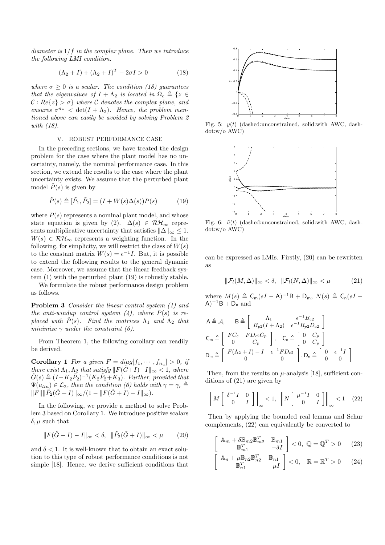*diameter is* 1/f *in the complex plane. Then we introduce the following LMI condition.*

$$
(\Lambda_2 + I) + (\Lambda_2 + I)^T - 2\sigma I > 0 \tag{18}
$$

*where*  $\sigma \geq 0$  *is a scalar. The condition (18) guarantees that the eigenvalues of*  $I + \Lambda_2$  *is located in*  $\Omega_c \triangleq \{z \in$  $C: Re\{z\} > \sigma\}$  where C denotes the complex plane, and *ensures*  $\sigma^{n_u} < \det(I + \Lambda_2)$ *. Hence, the problem mentioned above can easily be avoided by solving Problem 2 with (18).*

#### V. ROBUST PERFORMANCE CASE

In the preceding sections, we have treated the design problem for the case where the plant model has no uncertainty, namely, the nominal performance case. In this section, we extend the results to the case where the plant uncertainty exists. We assume that the perturbed plant model  $\tilde{P}(s)$  is given by

$$
\tilde{P}(s) \triangleq [\tilde{P}_1, \tilde{P}_2] = (I + W(s)\Delta(s))P(s)
$$
\n(19)

where  $P(s)$  represents a nominal plant model, and whose state equation is given by (2).  $\Delta(s) \in \mathcal{RH}_{\infty}$  represents multiplicative uncertainty that satisfies  $\|\Delta\|_{\infty} \leq 1$ .  $W(s) \in \mathcal{RH}_{\infty}$  represents a weighting function. In the following, for simplicity, we will restrict the class of  $W(s)$ to the constant matrix  $W(s) = e^{-1}I$ . But, it is possible to extend the following results to the general dynamic case. Moreover, we assume that the linear feedback system (1) with the perturbed plant (19) is robustly stable.

We formulate the robust performance design problem as follows.

**Problem 3** *Consider the linear control system (1) and the anti-windup control system*  $(4)$ *, where*  $P(s)$  *is replaced with*  $P(s)$ *. Find the matrices*  $\Lambda_1$  *and*  $\Lambda_2$  *that minimize*  $\gamma$  *under the constraint (6).* 

From Theorem 1, the following corollary can readily be derived.

**Corollary 1** *For a given*  $F = diag[f_1, \dots, f_n] > 0$ , if *there exist*  $\Lambda_1, \Lambda_2$  *that satisfy*  $\|F(\tilde{G}+I)-I\|_{\infty} < 1$ *, where*  $\tilde{G}(s) \triangleq (I - K_2 \tilde{P}_2)^{-1} (K_2 \tilde{P}_2 + K_3)$ *. Further, provided that*  $\Psi(u_{lin}) \in \mathcal{L}_2$ , then the condition (6) holds with  $\gamma = \gamma_r \triangleq$  $||F|| ||\tilde{P}_2(\tilde{G}+I)||_{\infty}/(1 - ||F(\tilde{G}+I) - I||_{\infty}).$ 

In the following, we provide a method to solve Problem 3 based on Corollary 1. We introduce positive scalars  $\delta, \mu$  such that

$$
||F(\tilde{G} + I) - I||_{\infty} < \delta, \quad ||\tilde{P}_2(\tilde{G} + I)||_{\infty} < \mu \qquad (20)
$$

and  $\delta$  < 1. It is well-known that to obtain an exact solution to this type of robust performance conditions is not simple [18]. Hence, we derive sufficient conditions that



Fig. 5:  $y(t)$  (dashed:unconstrained, solid:with AWC, dashdot:w/o AWC)



Fig. 6:  $\tilde{u}(t)$  (dashed:unconstrained, solid:with AWC, dashdot:w/o AWC)

can be expressed as LMIs. Firstly, (20) can be rewritten as

$$
\|\mathcal{F}_l(M,\Delta)\|_{\infty} < \delta, \quad \|\mathcal{F}_l(N,\Delta)\|_{\infty} < \mu \tag{21}
$$

where  $M(s) \triangleq \mathsf{C}_{\mathsf{m}}(sI - \mathsf{A})^{-1}\mathsf{B} + \mathsf{D}_{\mathsf{m}}$ ,  $N(s) \triangleq \mathsf{C}_{\mathsf{n}}(sI (A)^{-1}B + D_n$  and

$$
A \triangleq \mathcal{A}, \qquad B \triangleq \left[\begin{array}{cc} \Lambda_1 & \epsilon^{-1} B_{c2} \\ B_{p2}(I + \Lambda_2) & \epsilon^{-1} B_{p2} D_{c2} \end{array}\right]
$$
  
\n
$$
C_m \triangleq \left[\begin{array}{cc} FC_c & FD_{c2}C_p \\ 0 & C_p \end{array}\right], \qquad C_n \triangleq \left[\begin{array}{cc} 0 & C_p \\ 0 & C_p \end{array}\right]
$$
  
\n
$$
D_m \triangleq \left[\begin{array}{cc} F(\Lambda_2 + I) - I & \epsilon^{-1} FD_{c2} \\ 0 & 0 \end{array}\right], D_n \triangleq \left[\begin{array}{cc} 0 & \epsilon^{-1}I \\ 0 & 0 \end{array}\right]
$$

Then, from the results on  $\mu$ -analysis [18], sufficient conditions of (21) are given by

$$
\left\| M \begin{bmatrix} \delta^{-1}I & 0 \\ 0 & I \end{bmatrix} \right\|_{\infty} < 1, \quad \left\| N \begin{bmatrix} \mu^{-1}I & 0 \\ 0 & I \end{bmatrix} \right\|_{\infty} < 1 \quad (22)
$$

Then by applying the bounded real lemma and Schur complements, (22) can equivalently be converted to

$$
\begin{bmatrix}\n\mathbb{A}_{m} + \delta \mathbb{B}_{m2} \mathbb{B}_{m2}^{T} & \mathbb{B}_{m1} \\
\mathbb{B}_{m1}^{T} & -\delta I\n\end{bmatrix} < 0, \ \mathbb{Q} = \mathbb{Q}^{T} > 0 \qquad (23)
$$

$$
\begin{bmatrix}\n\mathbb{A}_n + \mu \mathbb{B}_{n2} \mathbb{B}_{n2}^T & \mathbb{B}_{n1} \\
\mathbb{B}_{n1}^T & -\mu I\n\end{bmatrix} < 0, \quad \mathbb{R} = \mathbb{R}^T > 0 \qquad (24)
$$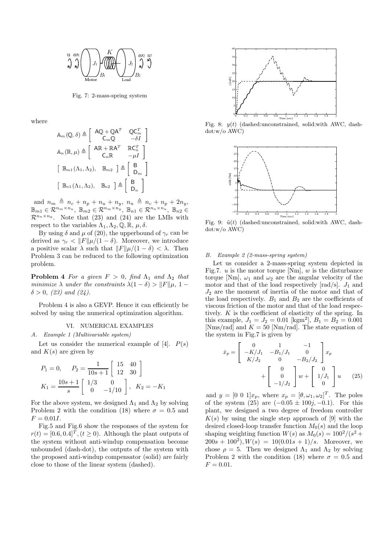

Fig. 7: 2-mass-spring system

where

$$
\begin{aligned}\n\mathbb{A}_{m}(\mathbb{Q},\delta) &\triangleq \left[ \begin{array}{cc} \mathsf{A}\mathbb{Q} + \mathbb{Q}\mathsf{A}^{T} & \mathbb{Q}\mathsf{C}_{m}^{T} \\
\mathsf{C}_{m}\mathbb{Q} & -\delta I \end{array} \right] \\
\mathbb{A}_{n}(\mathbb{R},\mu) &\triangleq \left[ \begin{array}{cc} \mathsf{A}\mathbb{R} + \mathbb{R}\mathsf{A}^{T} & \mathbb{R}\mathsf{C}_{n}^{T} \\
\mathsf{C}_{n}\mathbb{R} & -\mu I \end{array} \right] \\
\left[ \begin{array}{cc} \mathbb{B}_{m1}(\Lambda_{1},\Lambda_{2}), & \mathbb{B}_{m2} \end{array} \right] &\triangleq \left[ \begin{array}{c} \mathsf{B} \\
\mathsf{D}_{m} \end{array} \right] \\
\left[ \begin{array}{cc} \mathbb{B}_{n1}(\Lambda_{1},\Lambda_{2}), & \mathbb{B}_{n2} \end{array} \right] &\triangleq \left[ \begin{array}{c} \mathsf{B} \\
\mathsf{D}_{n} \end{array} \right]\n\end{aligned}
$$

 $\text{and} \ \ n_m \ \triangleq \ n_c + n_p + n_u + n_y, \ \ n_n \ \triangleq \ n_c + n_p + 2n_y,$  $\mathbb{B}_{m1} \in \mathcal{R}^{n_m \times n_u}, \ \mathbb{B}_{m2} \in \mathcal{R}^{n_m \times n_y}, \ \mathbb{B}_{n1} \in \mathcal{R}^{n_n \times n_u}, \ \mathbb{B}_{n2} \in$  $\mathcal{R}^{n_n \times n_y}$ . Note that (23) and (24) are the LMIs with respect to the variables  $\Lambda_1, \Lambda_2, \mathbb{Q}, \mathbb{R}, \mu, \delta$ .

By using  $\delta$  and  $\mu$  of (20), the upperbound of  $\gamma_r$  can be derived as  $\gamma_r < ||F|| \mu/(1 - \delta)$ . Moreover, we introduce a positive scalar  $\lambda$  such that  $||F||\mu/(1 - \delta) < \lambda$ . Then Problem 3 can be reduced to the following optimization problem.

**Problem 4** *For a given*  $F > 0$ *, find*  $\Lambda_1$  *and*  $\Lambda_2$  *that minimize*  $\lambda$  *under the constraints*  $\lambda(1 - \delta) > ||F||\mu$ , 1 −  $\delta > 0$ , (23) and (24).

Problem 4 is also a GEVP. Hence it can efficiently be solved by using the numerical optimization algorithm.

#### VI. NUMERICAL EXAMPLES

#### *A. Example 1 (Multivariable system)*

Let us consider the numerical example of  $[4]$ .  $P(s)$ and  $K(s)$  are given by

$$
P_1 = 0, \quad P_2 = \frac{1}{10s+1} \begin{bmatrix} 15 & 40 \\ 12 & 30 \end{bmatrix}
$$

$$
K_1 = \frac{10s+1}{s} \begin{bmatrix} 1/3 & 0 \\ 0 & -1/10 \end{bmatrix}, \quad K_2 = -K_1
$$

For the above system, we designed  $\Lambda_1$  and  $\Lambda_2$  by solving Problem 2 with the condition (18) where  $\sigma = 0.5$  and  $F = 0.01I$ .

Fig.5 and Fig.6 show the responses of the system for  $r(t) = [0.6, 0.4]^T$ ,  $(t \ge 0)$ . Although the plant outputs of the system without anti-windup compensation become unbounded (dash-dot), the outputs of the system with the proposed anti-windup compensator (solid) are fairly close to those of the linear system (dashed).



Fig. 8:  $y(t)$  (dashed:unconstrained, solid:with AWC, dashdot:w/o AWC)



Fig. 9:  $\tilde{u}(t)$  (dashed:unconstrained, solid:with AWC, dashdot:w/o AWC)

## *B. Example 2 (2-mass-spring system)*

Let us consider a 2-mass-spring system depicted in Fig.7.  $u$  is the motor torque [Nm],  $w$  is the disturbance torque [Nm],  $\omega_1$  and  $\omega_2$  are the angular velocity of the motor and that of the load respectively  $[rad/s]$ .  $J_1$  and  $J_2$  are the moment of inertia of the motor and that of the load respectively.  $B_1$  and  $B_2$  are the coefficients of viscous friction of the motor and that of the load respectively. K is the coefficient of elasticity of the spring. In this example,  $J_1 = J_2 = 0.01$  [kgm<sup>2</sup>],  $B_1 = B_2 = 0.001$ [Nms/rad] and  $K = 50$  [Nm/rad]. The state equation of the system in Fig.7 is given by

$$
\dot{x}_p = \begin{bmatrix} 0 & 1 & -1 \\ -K/J_1 & -B_1/J_1 & 0 \\ K/J_2 & 0 & -B_2/J_2 \end{bmatrix} x_p
$$

$$
+ \begin{bmatrix} 0 \\ 0 \\ -1/J_2 \end{bmatrix} w + \begin{bmatrix} 0 \\ 1/J_1 \\ 0 \end{bmatrix} u \qquad (25)
$$

and  $y = \begin{bmatrix} 0 & 0 & 1 \end{bmatrix} x_p$ , where  $x_p = [\theta, \omega_1, \omega_2]^T$ . The poles of the system  $(25)$  are  $(-0.05 \pm 100j, -0.1)$ . For this plant, we designed a two degree of freedom controller  $K(s)$  by using the single step approach of [9] with the desired closed-loop transfer function  $M_0(s)$  and the loop shaping weighting function  $W(s)$  as  $M_0(s) = 100^2/(s^2 +$  $200s + 100<sup>2</sup>$ ,  $W(s) = 10(0.01s + 1)/s$ . Moreover, we chose  $\rho = 5$ . Then we designed  $\Lambda_1$  and  $\Lambda_2$  by solving Problem 2 with the condition (18) where  $\sigma = 0.5$  and  $F = 0.01$ .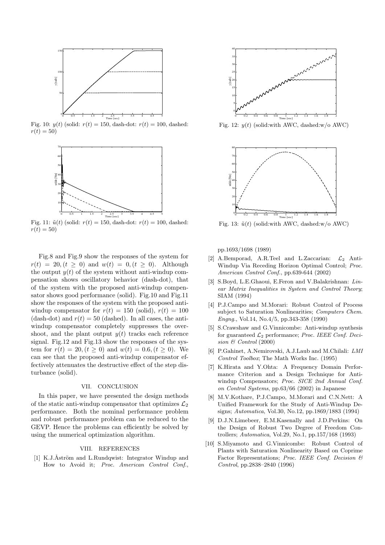

Fig. 10:  $y(t)$  (solid:  $r(t) = 150$ , dash-dot:  $r(t) = 100$ , dashed:  $r(t) = 50$ 



Fig. 11:  $\tilde{u}(t)$  (solid:  $r(t) = 150$ , dash-dot:  $r(t) = 100$ , dashed:  $r(t) = 50$ 

Fig.8 and Fig.9 show the responses of the system for  $r(t) = 20, (t \ge 0)$  and  $w(t) = 0, (t \ge 0)$ . Although the output  $y(t)$  of the system without anti-windup compensation shows oscillatory behavior (dash-dot), that of the system with the proposed anti-windup compensator shows good performance (solid). Fig.10 and Fig.11 show the responses of the system with the proposed antiwindup compensator for  $r(t) = 150$  (solid),  $r(t) = 100$ (dash-dot) and  $r(t) = 50$  (dashed). In all cases, the antiwindup compensator completely suppresses the overshoot, and the plant output  $y(t)$  tracks each reference signal. Fig.12 and Fig.13 show the responses of the system for  $r(t) = 20, (t \ge 0)$  and  $w(t) = 0.6, (t \ge 0)$ . We can see that the proposed anti-windup compensator effectively attenuates the destructive effect of the step disturbance (solid).

## VII. CONCLUSION

In this paper, we have presented the design methods of the static anti-windup compensator that optimizes  $\mathcal{L}_2$ performance. Both the nominal performance problem and robust performance problem can be reduced to the GEVP. Hence the problems can efficiently be solved by using the numerical optimization algorithm.

## VIII. REFERENCES

[1] K.J.Åström and L.Rundqwist: Integrator Windup and How to Avoid it; *Proc. American Control Conf.*,



Fig. 12:  $y(t)$  (solid:with AWC, dashed:w/o AWC)



Fig. 13:  $\tilde{u}(t)$  (solid:with AWC, dashed:w/o AWC)

pp.1693/1698 (1989)

- [2] A.Bemporad, A.R.Teel and L.Zaccarian: *L*<sup>2</sup> Anti-Windup Via Receding Horizon Optimal Control; *Proc. American Control Conf.*, pp.639-644 (2002)
- [3] S.Boyd, L.E.Ghaoui, E.Feron and V.Balakrishnan: *Linear Matrix Inequalities in System and Control Theory*; SIAM (1994)
- [4] P.J.Campo and M.Morari: Robust Control of Process subject to Saturation Nonlinearities; *Computers Chem. Engng.*, Vol.14, No.4/5, pp.343-358 (1990)
- [5] S.Crawshaw and G.Vinnicombe: Anti-windup synthesis for guaranteed *L*<sup>2</sup> performance; *Proc. IEEE Conf. Decision & Control* (2000)
- [6] P.Gahinet, A.Nemirovski, A.J.Laub and M.Chilali: *LMI Control Toolbox*; The Math Works Inc. (1995)
- [7] K.Hirata and Y.Ohta: A Frequency Domain Performance Criterion and a Design Technique for Antiwindup Compensators; *Proc. SICE 2nd Annual Conf. on Control Systems*, pp.63/66 (2002) in Japanese
- [8] M.V.Kothare, P.J.Campo, M.Morari and C.N.Nett: A Unified Framework for the Study of Anti-Windup Designs; *Automatica*, Vol.30, No.12, pp.1869/1883 (1994)
- [9] D.J.N.Limebeer, E.M.Kasenally and J.D.Perkins: On the Design of Robust Two Degree of Freedom Controllers; *Automatica*, Vol.29, No.1, pp.157/168 (1993)
- [10] S.Miyamoto and G.Vinnicombe: Robust Control of Plants with Saturation Nonlinearity Based on Coprime Factor Representations; *Proc. IEEE Conf. Decision & Control*, pp.2838–2840 (1996)